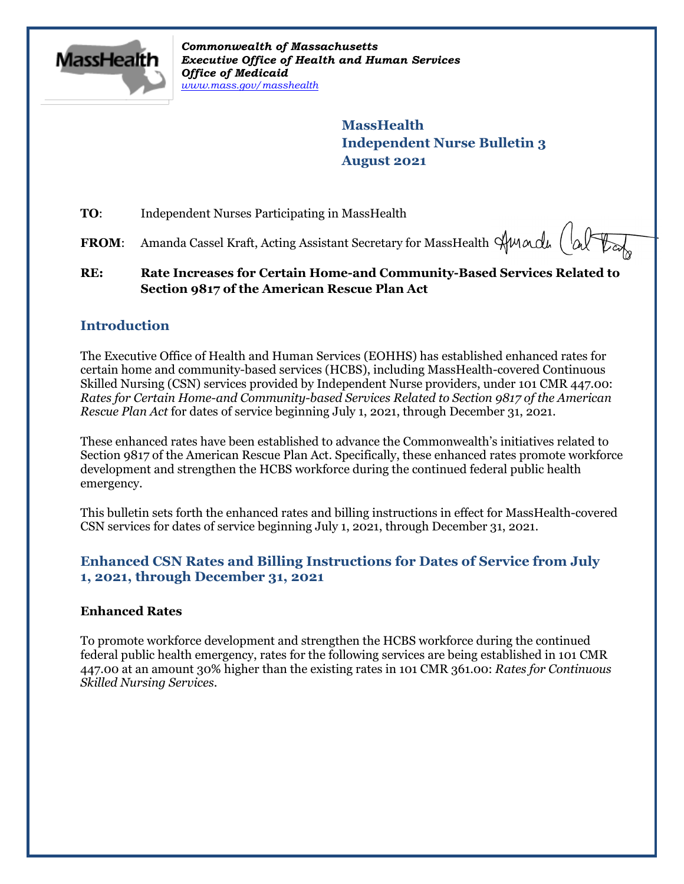

*Commonwealth of Massachusetts Executive Office of Health and Human Services Office of Medicaid [www.mass.gov/masshealth](http://www.mass.gov/masshealth)*

> **MassHealth Independent Nurse Bulletin 3 August 2021**

**TO:** Independent Nurses Participating in MassHealth

**FROM:** Amanda Cassel Kraft, Acting Assistant Secretary for MassHealth Summandu

**RE: Rate Increases for Certain Home-and Community-Based Services Related to Section 9817 of the American Rescue Plan Act**

### **Introduction**

The Executive Office of Health and Human Services (EOHHS) has established enhanced rates for certain home and community-based services (HCBS), including MassHealth-covered Continuous Skilled Nursing (CSN) services provided by Independent Nurse providers, under 101 CMR 447.00: *Rates for Certain Home-and Community-based Services Related to Section 9817 of the American Rescue Plan Act* for dates of service beginning July 1, 2021, through December 31, 2021.

These enhanced rates have been established to advance the Commonwealth's initiatives related to Section 9817 of the American Rescue Plan Act. Specifically, these enhanced rates promote workforce development and strengthen the HCBS workforce during the continued federal public health emergency.

This bulletin sets forth the enhanced rates and billing instructions in effect for MassHealth-covered CSN services for dates of service beginning July 1, 2021, through December 31, 2021.

### **Enhanced CSN Rates and Billing Instructions for Dates of Service from July 1, 2021, through December 31, 2021**

#### **Enhanced Rates**

To promote workforce development and strengthen the HCBS workforce during the continued federal public health emergency, rates for the following services are being established in 101 CMR 447.00 at an amount 30% higher than the existing rates in 101 CMR 361.00: *Rates for Continuous Skilled Nursing Services*.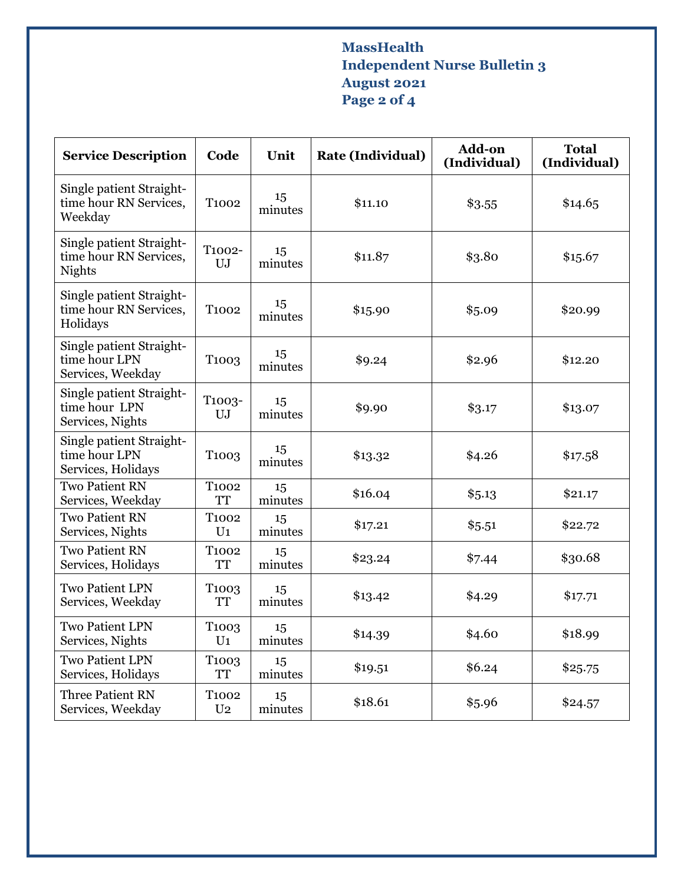# **MassHealth Independent Nurse Bulletin 3 August 2021 Page 2 of 4**

| <b>Service Description</b>                                          | Code                                | Unit          | <b>Rate (Individual)</b> | Add-on<br>(Individual) | <b>Total</b><br>(Individual) |
|---------------------------------------------------------------------|-------------------------------------|---------------|--------------------------|------------------------|------------------------------|
| Single patient Straight-<br>time hour RN Services,<br>Weekday       | T <sub>1002</sub>                   | 15<br>minutes | \$11.10                  | \$3.55                 | \$14.65                      |
| Single patient Straight-<br>time hour RN Services,<br><b>Nights</b> | T1002-<br>UJ                        | 15<br>minutes | \$11.87                  | \$3.80                 | \$15.67                      |
| Single patient Straight-<br>time hour RN Services,<br>Holidays      | T <sub>1002</sub>                   | 15<br>minutes | \$15.90                  | \$5.09                 | \$20.99                      |
| Single patient Straight-<br>time hour LPN<br>Services, Weekday      | T <sub>1003</sub>                   | 15<br>minutes | \$9.24                   | \$2.96                 | \$12.20                      |
| Single patient Straight-<br>time hour LPN<br>Services, Nights       | T <sub>1003</sub> -<br>UJ           | 15<br>minutes | \$9.90                   | \$3.17                 | \$13.07                      |
| Single patient Straight-<br>time hour LPN<br>Services, Holidays     | T <sub>1003</sub>                   | 15<br>minutes | \$13.32                  | \$4.26                 | \$17.58                      |
| <b>Two Patient RN</b><br>Services, Weekday                          | T <sub>1002</sub><br><b>TT</b>      | 15<br>minutes | \$16.04                  | \$5.13                 | \$21.17                      |
| <b>Two Patient RN</b><br>Services, Nights                           | T <sub>1002</sub><br>$U_1$          | 15<br>minutes | \$17.21                  | \$5.51                 | \$22.72                      |
| <b>Two Patient RN</b><br>Services, Holidays                         | T1002<br><b>TT</b>                  | 15<br>minutes | \$23.24                  | \$7.44                 | \$30.68                      |
| <b>Two Patient LPN</b><br>Services, Weekday                         | T <sub>1003</sub><br><b>TT</b>      | 15<br>minutes | \$13.42                  | \$4.29                 | \$17.71                      |
| <b>Two Patient LPN</b><br>Services, Nights                          | T <sub>1003</sub><br>U <sub>1</sub> | 15<br>minutes | \$14.39                  | \$4.60                 | \$18.99                      |
| <b>Two Patient LPN</b><br>Services, Holidays                        | T <sub>1003</sub><br><b>TT</b>      | 15<br>minutes | \$19.51                  | \$6.24                 | \$25.75                      |
| <b>Three Patient RN</b><br>Services, Weekday                        | T <sub>1002</sub><br>U <sub>2</sub> | 15<br>minutes | \$18.61                  | \$5.96                 | \$24.57                      |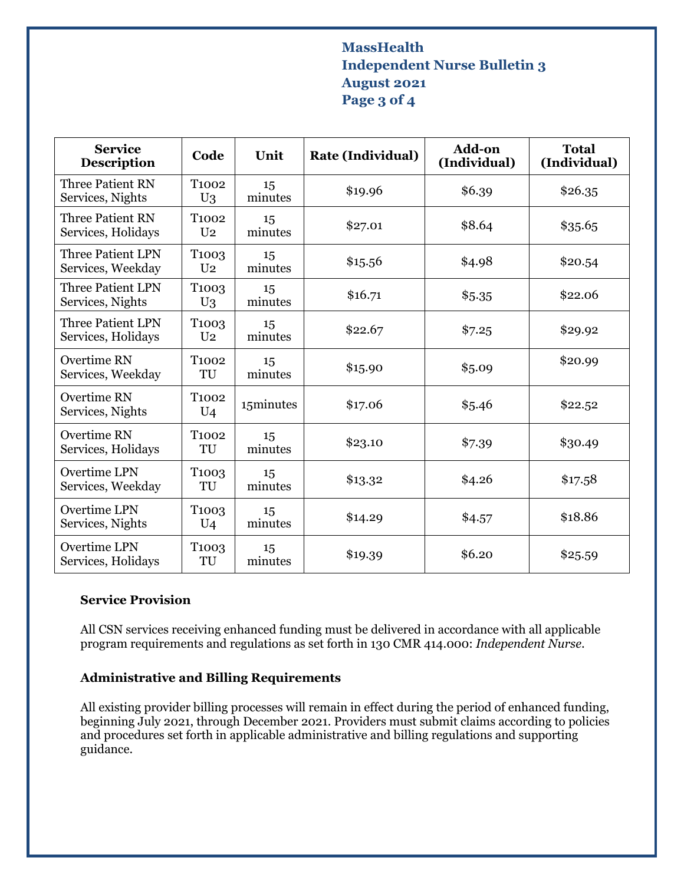## **MassHealth Independent Nurse Bulletin 3 August 2021 Page 3 of 4**

| <b>Service</b><br><b>Description</b>           | Code                                 | Unit          | <b>Rate (Individual)</b> | <b>Add-on</b><br>(Individual) | <b>Total</b><br>(Individual) |
|------------------------------------------------|--------------------------------------|---------------|--------------------------|-------------------------------|------------------------------|
| <b>Three Patient RN</b><br>Services, Nights    | T <sub>1002</sub><br>$U_3$           | 15<br>minutes | \$19.96                  | \$6.39                        | \$26.35                      |
| <b>Three Patient RN</b><br>Services, Holidays  | T <sub>1002</sub><br>U <sub>2</sub>  | 15<br>minutes | \$27.01                  | \$8.64                        | \$35.65                      |
| <b>Three Patient LPN</b><br>Services, Weekday  | T <sub>100</sub> 3<br>U <sub>2</sub> | 15<br>minutes | \$15.56                  | \$4.98                        | \$20.54                      |
| <b>Three Patient LPN</b><br>Services, Nights   | T <sub>1003</sub><br>$U_3$           | 15<br>minutes | \$16.71                  | \$5.35                        | \$22.06                      |
| <b>Three Patient LPN</b><br>Services, Holidays | T <sub>1003</sub><br>U <sub>2</sub>  | 15<br>minutes | \$22.67                  | \$7.25                        | \$29.92                      |
| <b>Overtime RN</b><br>Services, Weekday        | T <sub>1002</sub><br>TU              | 15<br>minutes | \$15.90                  | \$5.09                        | \$20.99                      |
| Overtime RN<br>Services, Nights                | T <sub>1002</sub><br>$U_4$           | 15minutes     | \$17.06                  | \$5.46                        | \$22.52                      |
| Overtime RN<br>Services, Holidays              | T <sub>1002</sub><br>TU              | 15<br>minutes | \$23.10                  | \$7.39                        | \$30.49                      |
| <b>Overtime LPN</b><br>Services, Weekday       | T <sub>1003</sub><br>TU              | 15<br>minutes | \$13.32                  | \$4.26                        | \$17.58                      |
| Overtime LPN<br>Services, Nights               | T <sub>1003</sub><br>$U_4$           | 15<br>minutes | \$14.29                  | \$4.57                        | \$18.86                      |
| <b>Overtime LPN</b><br>Services, Holidays      | T <sub>1003</sub><br>TU              | 15<br>minutes | \$19.39                  | \$6.20                        | \$25.59                      |

#### **Service Provision**

All CSN services receiving enhanced funding must be delivered in accordance with all applicable program requirements and regulations as set forth in 130 CMR 414.000: *Independent Nurse*.

# **Administrative and Billing Requirements**

All existing provider billing processes will remain in effect during the period of enhanced funding, beginning July 2021, through December 2021. Providers must submit claims according to policies and procedures set forth in applicable administrative and billing regulations and supporting guidance.